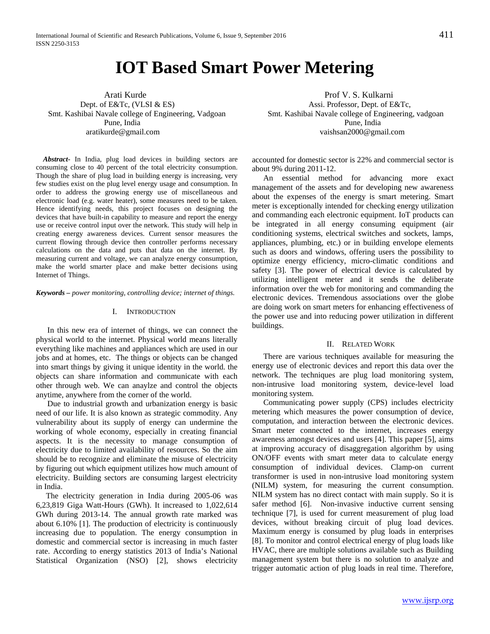# **IOT Based Smart Power Metering**

Pune, India Pune, India

*Abstract***-** In India, plug load devices in building sectors are consuming close to 40 percent of the total electricity consumption. Though the share of plug load in building energy is increasing, very few studies exist on the plug level energy usage and consumption. In order to address the growing energy use of miscellaneous and electronic load (e.g. water heater), some measures need to be taken. Hence identifying needs, this project focuses on designing the devices that have built-in capability to measure and report the energy use or receive control input over the network. This study will help in creating energy awareness devices. Current sensor measures the current flowing through device then controller performs necessary calculations on the data and puts that data on the internet. By measuring current and voltage, we can analyze energy consumption, make the world smarter place and make better decisions using Internet of Things.

*Keywords – power monitoring, controlling device; internet of things.*

#### I. INTRODUCTION

In this new era of internet of things, we can connect the physical world to the internet. Physical world means literally everything like machines and appliances which are used in our jobs and at homes, etc. The things or objects can be changed into smart things by giving it unique identity in the world. the objects can share information and communicate with each other through web. We can anaylze and control the objects anytime, anywhere from the corner of the world.

Due to industrial growth and urbanization energy is basic need of our life. It is also known as strategic commodity. Any vulnerability about its supply of energy can undermine the working of whole economy, especially in creating financial aspects. It is the necessity to manage consumption of electricity due to limited availability of resources. So the aim should be to recognize and eliminate the misuse of electricity by figuring out which equipment utilizes how much amount of electricity. Building sectors are consuming largest electricity in India.

 The electricity generation in India during 2005-06 was 6,23,819 Giga Watt-Hours (GWh). It increased to 1,022,614 GWh during 2013-14. The annual growth rate marked was about 6.10% [1]. The production of electricity is continuously increasing due to population. The energy consumption in domestic and commercial sector is increasing in much faster rate. According to energy statistics 2013 of India's National Statistical Organization (NSO) [2], shows electricity

 Arati Kurde Prof V. S. Kulkarni Dept. of E&Tc, (VLSI & ES) Assi. Professor, Dept. of E&Tc, Smt. Kashibai Navale college of Engineering, Vadgoan Smt. Kashibai Navale college of Engineering, vadgoan aratikurde@gmail.com vaishsan2000@gmail.com

> accounted for domestic sector is 22% and commercial sector is about 9% during 2011-12.

> An essential method for advancing more exact management of the assets and for developing new awareness about the expenses of the energy is smart metering. Smart meter is exceptionally intended for checking energy utilization and commanding each electronic equipment. IoT products can be integrated in all energy consuming equipment (air conditioning systems, electrical switches and sockets, lamps, appliances, plumbing, etc.) or in building envelope elements such as doors and windows, offering users the possibility to optimize energy efficiency, micro-climatic conditions and safety [3]. The power of electrical device is calculated by utilizing intelligent meter and it sends the deliberate information over the web for monitoring and commanding the electronic devices. Tremendous associations over the globe are doing work on smart meters for enhancing effectiveness of the power use and into reducing power utilization in different buildings.

#### II. RELATED WORK

There are various techniques available for measuring the energy use of electronic devices and report this data over the network. The techniques are plug load monitoring system, non-intrusive load monitoring system, device-level load monitoring system.

Communicating power supply (CPS) includes electricity metering which measures the power consumption of device, computation, and interaction between the electronic devices. Smart meter connected to the internet, increases energy awareness amongst devices and users [4]. This paper [5], aims at improving accuracy of disaggregation algorithm by using ON/OFF events with smart meter data to calculate energy consumption of individual devices. Clamp-on current transformer is used in non-intrusive load monitoring system (NILM) system, for measuring the current consumption. NILM system has no direct contact with main supply. So it is safer method [6]. Non-invasive inductive current sensing technique [7], is used for current measurement of plug load devices, without breaking circuit of plug load devices. Maximum energy is consumed by plug loads in enterprises [8]. To monitor and control electrical energy of plug loads like HVAC, there are multiple solutions available such as Building management system but there is no solution to analyze and trigger automatic action of plug loads in real time. Therefore,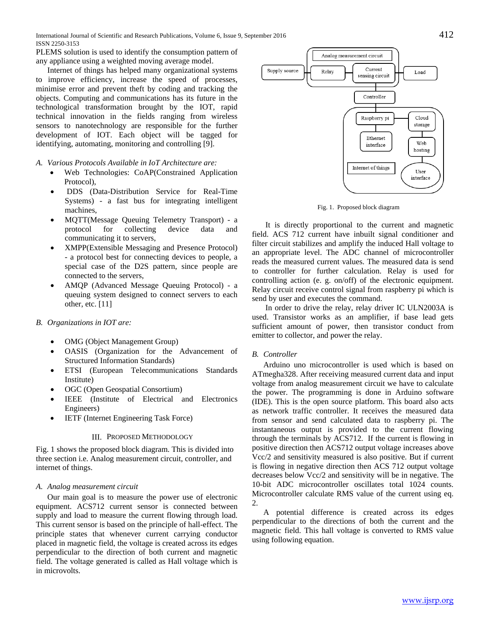PLEMS solution is used to identify the consumption pattern of any appliance using a weighted moving average model.

Internet of things has helped many organizational systems to improve efficiency, increase the speed of processes, minimise error and prevent theft by coding and tracking the objects. Computing and communications has its future in the technological transformation brought by the IOT, rapid technical innovation in the fields ranging from wireless sensors to nanotechnology are responsible for the further development of IOT. Each object will be tagged for identifying, automating, monitoring and controlling [9].

- *A. Various Protocols Available in IoT Architecture are:*
	- Web Technologies: CoAP(Constrained Application Protocol),
	- DDS (Data-Distribution Service for Real-Time Systems) - a fast bus for integrating intelligent machines,
	- MQTT(Message Queuing Telemetry Transport) a protocol for collecting device data and communicating it to servers,
	- XMPP(Extensible Messaging and Presence Protocol) - a protocol best for connecting devices to people, a special case of the D2S pattern, since people are connected to the servers,
	- AMQP (Advanced Message Queuing Protocol) a queuing system designed to connect servers to each other, etc. [11]

# *B. Organizations in IOT are:*

- OMG (Object Management Group)
- OASIS (Organization for the Advancement of Structured Information Standards)
- ETSI (European Telecommunications Standards Institute)
- OGC (Open Geospatial Consortium)
- IEEE (Institute of Electrical and Electronics Engineers)
- IETF (Internet Engineering Task Force)

## III. PROPOSED METHODOLOGY

Fig. 1 shows the proposed block diagram. This is divided into three section i.e. Analog measurement circuit, controller, and internet of things.

# *A. Analog measurement circuit*

Our main goal is to measure the power use of electronic equipment. ACS712 current sensor is connected between supply and load to measure the current flowing through load. This current sensor is based on the principle of hall-effect. The principle states that whenever current carrying conductor placed in magnetic field, the voltage is created across its edges perpendicular to the direction of both current and magnetic field. The voltage generated is called as Hall voltage which is in microvolts.



Fig. 1. Proposed block diagram

It is directly proportional to the current and magnetic field. ACS 712 current have inbuilt signal conditioner and filter circuit stabilizes and amplify the induced Hall voltage to an appropriate level. The ADC channel of microcontroller reads the measured current values. The measured data is send to controller for further calculation. Relay is used for controlling action (e. g. on/off) of the electronic equipment. Relay circuit receive control signal from raspberry pi which is send by user and executes the command.

In order to drive the relay, relay driver IC ULN2003A is used. Transistor works as an amplifier, if base lead gets sufficient amount of power, then transistor conduct from emitter to collector, and power the relay.

# *B. Controller*

Arduino uno microcontroller is used which is based on ATmegha328. After receiving measured current data and input voltage from analog measurement circuit we have to calculate the power. The programming is done in Arduino software (IDE). This is the open source platform. This board also acts as network traffic controller. It receives the measured data from sensor and send calculated data to raspberry pi. The instantaneous output is provided to the current flowing through the terminals by ACS712. If the current is flowing in positive direction then ACS712 output voltage increases above Vcc/2 and sensitivity measured is also positive. But if current is flowing in negative direction then ACS 712 output voltage decreases below Vcc/2 and sensitivity will be in negative. The 10-bit ADC microcontroller oscillates total 1024 counts. Microcontroller calculate RMS value of the current using eq. 2.

A potential difference is created across its edges perpendicular to the directions of both the current and the magnetic field. This hall voltage is converted to RMS value using following equation.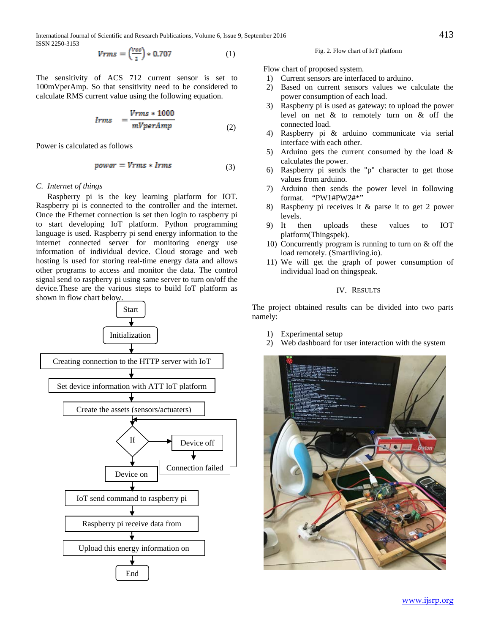International Journal of Scientific and Research Publications, Volume 6, Issue 9, September 2016 413 ISSN 2250-3153

$$
Vrms = \left(\frac{Vee}{2}\right) * 0.707\tag{1}
$$

The sensitivity of ACS 712 current sensor is set to 100mVperAmp. So that sensitivity need to be considered to calculate RMS current value using the following equation.

$$
lrms = \frac{Vrms * 1000}{mVperAmp}
$$
\n(2)

Power is calculated as follows

$$
power = Vrms * lrms \tag{3}
$$

### *C. Internet of things*

Raspberry pi is the key learning platform for IOT. Raspberry pi is connected to the controller and the internet. Once the Ethernet connection is set then login to raspberry pi to start developing IoT platform. Python programming language is used. Raspberry pi send energy information to the internet connected server for monitoring energy use information of individual device. Cloud storage and web hosting is used for storing real-time energy data and allows other programs to access and monitor the data. The control signal send to raspberry pi using same server to turn on/off the device.These are the various steps to build IoT platform as shown in flow chart below.



Fig. 2. Flow chart of IoT platform

Flow chart of proposed system.

- 1) Current sensors are interfaced to arduino.
- 2) Based on current sensors values we calculate the power consumption of each load.
- 3) Raspberry pi is used as gateway: to upload the power level on net & to remotely turn on & off the connected load.
- 4) Raspberry pi & arduino communicate via serial interface with each other.
- 5) Arduino gets the current consumed by the load  $\&$ calculates the power.
- 6) Raspberry pi sends the "p" character to get those values from arduino.
- 7) Arduino then sends the power level in following format. "PW1#PW2#\*"
- 8) Raspberry pi receives it & parse it to get 2 power levels.
- 9) It then uploads these values to IOT platform(Thingspek).
- 10) Concurrently program is running to turn on & off the load remotely. (Smartliving.io).
- 11) We will get the graph of power consumption of individual load on thingspeak.

# IV. RESULTS

The project obtained results can be divided into two parts namely:

- 1) Experimental setup
- 2) Web dashboard for user interaction with the system

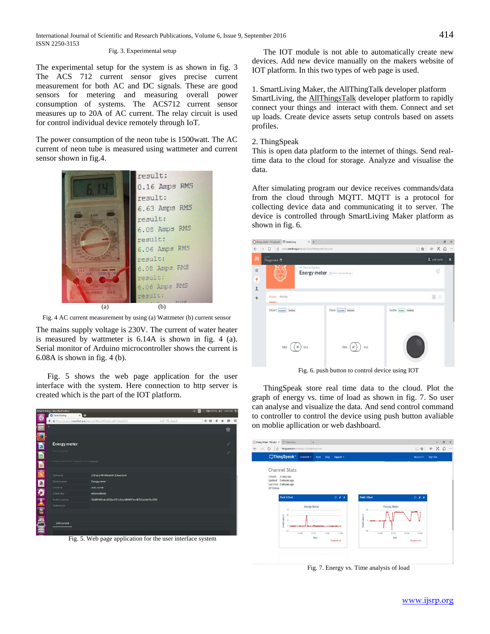## Fig. 3. Experimental setup

The experimental setup for the system is as shown in fig. 3 The ACS 712 current sensor gives precise current measurement for both AC and DC signals. These are good sensors for metering and measuring overall power consumption of systems. The ACS712 current sensor measures up to 20A of AC current. The relay circuit is used for control individual device remotely through IoT.

The power consumption of the neon tube is 1500watt. The AC current of neon tube is measured using wattmeter and current sensor shown in fig.4.



Fig. 4 AC current measurement by using (a) Wattmeter (b) current sensor

The mains supply voltage is 230V. The current of water heater is measured by wattmeter is 6.14A is shown in fig. 4 (a). Serial monitor of Arduino microcontroller shows the current is 6.08A is shown in fig. 4 (b).

Fig. 5 shows the web page application for the user interface with the system. Here connection to http server is created which is the part of the IOT platform.



Fig. 5. Web page application for the user interface system

The IOT module is not able to automatically create new devices. Add new device manually on the makers website of IOT platform. In this two types of web page is used.

1. SmartLiving Maker, the AllThingTalk developer platform SmartLiving, the [AllThingsTalk](http://www.allthingstalk.com/) developer platform to rapidly connect your things and interact with them. Connect and set up loads. Create device assets setup controls based on assets profiles.

#### 2. ThingSpeak

This is open data platform to the internet of things. Send realtime data to the cloud for storage. Analyze and visualise the data.

After simulating program our device receives commands/data from the cloud through MQTT. MQTT is a protocol for collecting device data and communicating it to server. The device is controlled through SmartLiving Maker platform as shown in fig. 6.

|                           | C Every Meter-Thingtonik El SevetLeng X +      |                              |                             | $\times$<br>ö                                                                         |  |  |
|---------------------------|------------------------------------------------|------------------------------|-----------------------------|---------------------------------------------------------------------------------------|--|--|
| $\leftarrow$              | > 0 8 minimal foregister continental the child |                              |                             | $\Box \; \dot{\alpha} \vert \; \equiv \; \mathbb{Z} \; \; \dot{\mathbb{O}} \; \cdots$ |  |  |
| PI                        | $_{\rm peak}$<br>Playground ®                  |                              |                             | $2$ and juris<br>A                                                                    |  |  |
| $\equiv$<br>$\frac{4}{1}$ | + Back to Devices                              | Energy meter @administration |                             | 0                                                                                     |  |  |
|                           | Assets Activity                                |                              | $H \equiv$                  |                                                                                       |  |  |
|                           | Diode1 adsatar Beehan                          | Diode actuator Bechure       | <b>Button</b> sensor bostom |                                                                                       |  |  |
|                           | true<br>fabe.<br>$\mathbf x$                   | ine<br>false                 |                             |                                                                                       |  |  |

Fig. 6. push button to control device using IOT

ThingSpeak store real time data to the cloud. Plot the graph of energy vs. time of load as shown in fig. 7. So user can analyse and visualize the data. And send control command to controller to control the device using push button avaliable on moblie apllication or web dashboard.

| Created<br>Updated 2 minutes ago<br>Last Entry 2 minutes ago<br>107 Entries | ThingSpeak <sup>*</sup> Ounces - Apps<br>Channel Stats<br>21 days ago: |                                               | <b>Blog</b> Support .     |                                                             | Account +                                                    | Sign Out |
|-----------------------------------------------------------------------------|------------------------------------------------------------------------|-----------------------------------------------|---------------------------|-------------------------------------------------------------|--------------------------------------------------------------|----------|
|                                                                             |                                                                        |                                               |                           |                                                             |                                                              |          |
|                                                                             |                                                                        |                                               |                           |                                                             |                                                              |          |
|                                                                             |                                                                        |                                               |                           |                                                             |                                                              |          |
|                                                                             | Field 1 Chart                                                          |                                               | $D \times X$              | <b>Field 2 Chart</b>                                        | $P$ / X                                                      |          |
|                                                                             | 75<br>16<br><b>Galeri</b><br>25<br>Firth of<br>$-71$<br>13.00          | <b>Energy Meter</b><br>18.90<br>12.15<br>Date | 12:48<br>Third publishers | <b>Energy Meter</b><br>25<br>Einhä Label 2<br>$-20$<br>1100 | 15.11<br>11.45<br>15:30<br>Date<br>This planned cars.<br>mi. |          |

Fig. 7. Energy vs. Time analysis of load